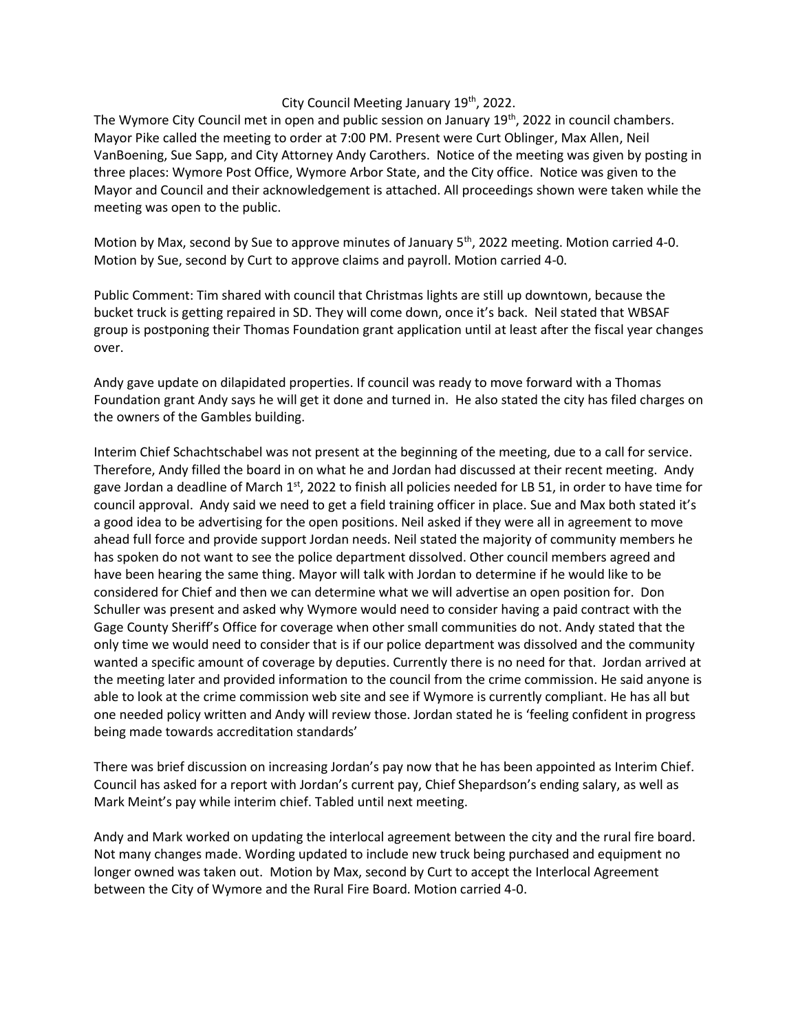## City Council Meeting January 19<sup>th</sup>, 2022.

The Wymore City Council met in open and public session on January  $19<sup>th</sup>$ , 2022 in council chambers. Mayor Pike called the meeting to order at 7:00 PM. Present were Curt Oblinger, Max Allen, Neil VanBoening, Sue Sapp, and City Attorney Andy Carothers. Notice of the meeting was given by posting in three places: Wymore Post Office, Wymore Arbor State, and the City office. Notice was given to the Mayor and Council and their acknowledgement is attached. All proceedings shown were taken while the meeting was open to the public.

Motion by Max, second by Sue to approve minutes of January 5<sup>th</sup>, 2022 meeting. Motion carried 4-0. Motion by Sue, second by Curt to approve claims and payroll. Motion carried 4-0.

Public Comment: Tim shared with council that Christmas lights are still up downtown, because the bucket truck is getting repaired in SD. They will come down, once it's back. Neil stated that WBSAF group is postponing their Thomas Foundation grant application until at least after the fiscal year changes over.

Andy gave update on dilapidated properties. If council was ready to move forward with a Thomas Foundation grant Andy says he will get it done and turned in. He also stated the city has filed charges on the owners of the Gambles building.

Interim Chief Schachtschabel was not present at the beginning of the meeting, due to a call for service. Therefore, Andy filled the board in on what he and Jordan had discussed at their recent meeting. Andy gave Jordan a deadline of March  $1^{st}$ , 2022 to finish all policies needed for LB 51, in order to have time for council approval. Andy said we need to get a field training officer in place. Sue and Max both stated it's a good idea to be advertising for the open positions. Neil asked if they were all in agreement to move ahead full force and provide support Jordan needs. Neil stated the majority of community members he has spoken do not want to see the police department dissolved. Other council members agreed and have been hearing the same thing. Mayor will talk with Jordan to determine if he would like to be considered for Chief and then we can determine what we will advertise an open position for. Don Schuller was present and asked why Wymore would need to consider having a paid contract with the Gage County Sheriff's Office for coverage when other small communities do not. Andy stated that the only time we would need to consider that is if our police department was dissolved and the community wanted a specific amount of coverage by deputies. Currently there is no need for that. Jordan arrived at the meeting later and provided information to the council from the crime commission. He said anyone is able to look at the crime commission web site and see if Wymore is currently compliant. He has all but one needed policy written and Andy will review those. Jordan stated he is 'feeling confident in progress being made towards accreditation standards'

There was brief discussion on increasing Jordan's pay now that he has been appointed as Interim Chief. Council has asked for a report with Jordan's current pay, Chief Shepardson's ending salary, as well as Mark Meint's pay while interim chief. Tabled until next meeting.

Andy and Mark worked on updating the interlocal agreement between the city and the rural fire board. Not many changes made. Wording updated to include new truck being purchased and equipment no longer owned was taken out. Motion by Max, second by Curt to accept the Interlocal Agreement between the City of Wymore and the Rural Fire Board. Motion carried 4-0.